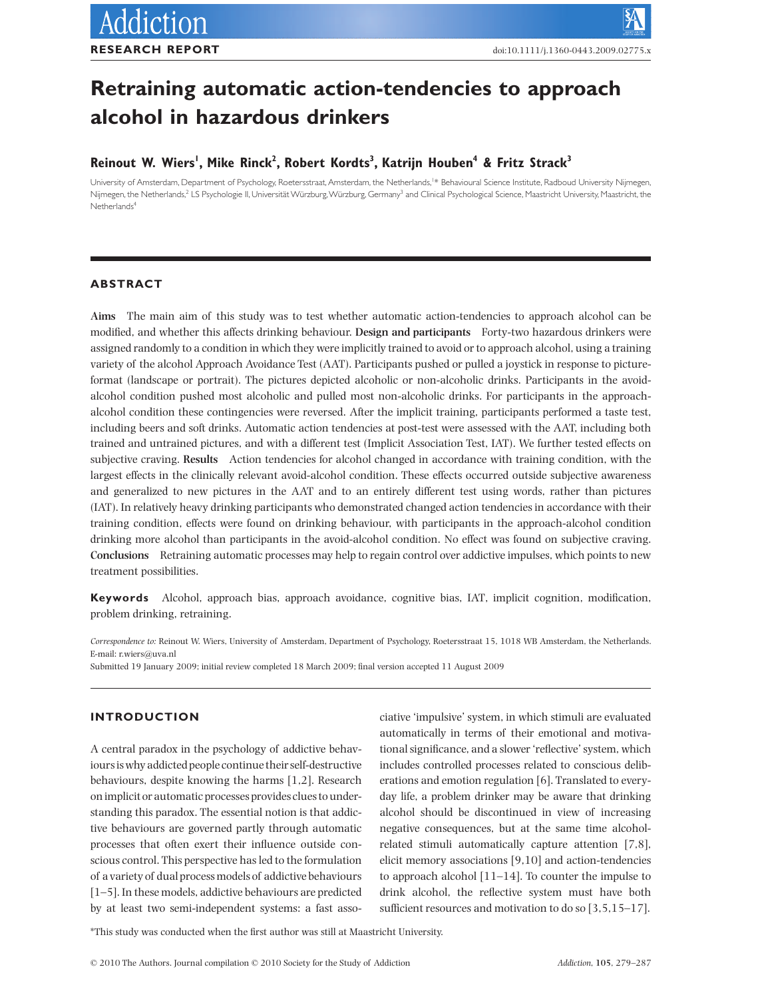# **Retraining automatic action-tendencies to approach** alcohol in hazardous drinkers

## **Reinout W. Wiers1 , Mike Rinck2 , Robert Kordts3 , Katrijn Houben4 & Fritz Strack3**

University of Amsterdam, Department of Psychology, Roetersstraat, Amsterdam, the Netherlands,<sup>1</sup>\* Behavioural Science Institute, Radboud University Nijmegen Nijmegen, the Netherlands,<sup>2</sup> LS Psychologie II, Universität Würzburg, Würzburg, Germany<sup>3</sup> and Clinical Psychological Science, Maastricht University, Maastricht, the  $N$ etherlands<sup>4</sup>

## **ABSTRACT**

**Aims** The main aim of this study was to test whether automatic action-tendencies to approach alcohol can be modified, and whether this affects drinking behaviour. **Design and participants** Forty-two hazardous drinkers were assigned randomly to a condition in which they were implicitly trained to avoid or to approach alcohol, using a training variety of the alcohol Approach Avoidance Test (AAT). Participants pushed or pulled a joystick in response to pictureformat (landscape or portrait). The pictures depicted alcoholic or non-alcoholic drinks. Participants in the avoidalcohol condition pushed most alcoholic and pulled most non-alcoholic drinks. For participants in the approachalcohol condition these contingencies were reversed. After the implicit training, participants performed a taste test, including beers and soft drinks. Automatic action tendencies at post-test were assessed with the AAT, including both trained and untrained pictures, and with a different test (Implicit Association Test, IAT). We further tested effects on subjective craving. **Results** Action tendencies for alcohol changed in accordance with training condition, with the largest effects in the clinically relevant avoid-alcohol condition. These effects occurred outside subjective awareness and generalized to new pictures in the AAT and to an entirely different test using words, rather than pictures (IAT). In relatively heavy drinking participants who demonstrated changed action tendencies in accordance with their training condition, effects were found on drinking behaviour, with participants in the approach-alcohol condition drinking more alcohol than participants in the avoid-alcohol condition. No effect was found on subjective craving. **Conclusions** Retraining automatic processes may help to regain control over addictive impulses, which points to new treatment possibilities.

**Keywords** Alcohol, approach bias, approach avoidance, cognitive bias, IAT, implicit cognition, modification, problem drinking, retraining.

*Correspondence to:* Reinout W. Wiers, University of Amsterdam, Department of Psychology, Roetersstraat 15, 1018 WB Amsterdam, the Netherlands. E-mail: r.wiers@uva.nl

Submitted 19 January 2009; initial review completed 18 March 2009; final version accepted 11 August 2009

## **INTRODUCTION**

A central paradox in the psychology of addictive behaviours is why addicted people continue their self-destructive behaviours, despite knowing the harms [1,2]. Research on implicit or automatic processes provides clues to understanding this paradox. The essential notion is that addictive behaviours are governed partly through automatic processes that often exert their influence outside conscious control. This perspective has led to the formulation of a variety of dual process models of addictive behaviours [1–5]. In these models, addictive behaviours are predicted by at least two semi-independent systems: a fast associative 'impulsive' system, in which stimuli are evaluated automatically in terms of their emotional and motivational significance, and a slower 'reflective' system, which includes controlled processes related to conscious deliberations and emotion regulation [6]. Translated to everyday life, a problem drinker may be aware that drinking alcohol should be discontinued in view of increasing negative consequences, but at the same time alcoholrelated stimuli automatically capture attention [7,8], elicit memory associations [9,10] and action-tendencies to approach alcohol [11–14]. To counter the impulse to drink alcohol, the reflective system must have both sufficient resources and motivation to do so [3,5,15–17].

\*This study was conducted when the first author was still at Maastricht University.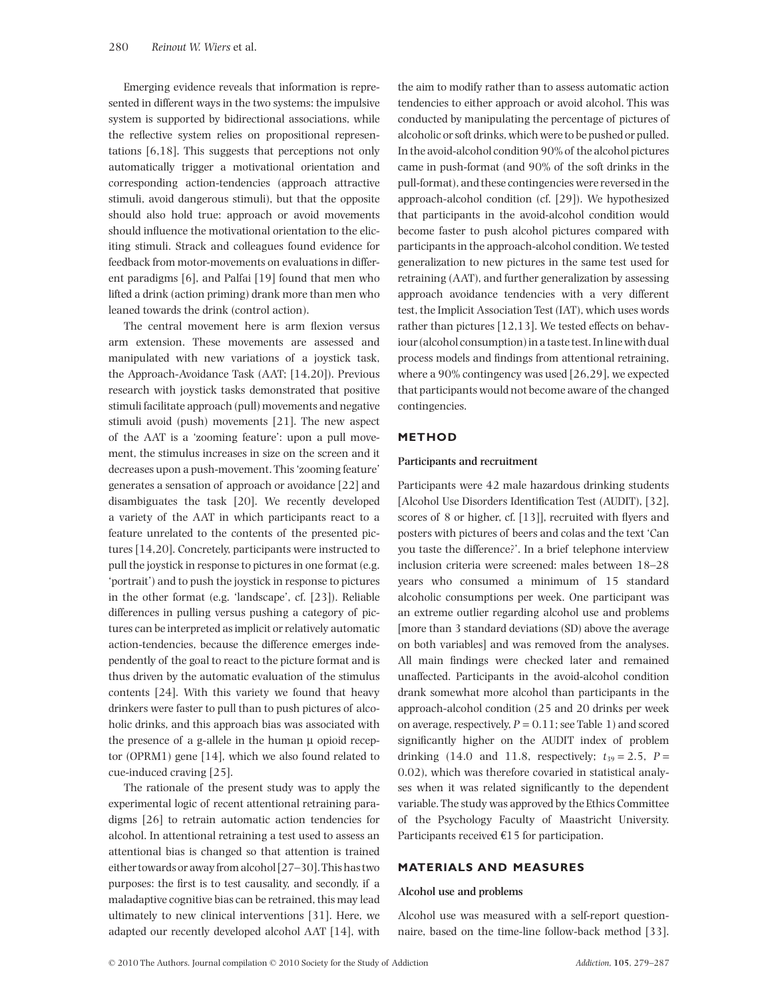Emerging evidence reveals that information is represented in different ways in the two systems: the impulsive system is supported by bidirectional associations, while the reflective system relies on propositional representations [6,18]. This suggests that perceptions not only automatically trigger a motivational orientation and corresponding action-tendencies (approach attractive stimuli, avoid dangerous stimuli), but that the opposite should also hold true: approach or avoid movements should influence the motivational orientation to the eliciting stimuli. Strack and colleagues found evidence for feedback from motor-movements on evaluations in different paradigms [6], and Palfai [19] found that men who lifted a drink (action priming) drank more than men who leaned towards the drink (control action).

The central movement here is arm flexion versus arm extension. These movements are assessed and manipulated with new variations of a joystick task, the Approach-Avoidance Task (AAT; [14,20]). Previous research with joystick tasks demonstrated that positive stimuli facilitate approach (pull) movements and negative stimuli avoid (push) movements [21]. The new aspect of the AAT is a 'zooming feature': upon a pull movement, the stimulus increases in size on the screen and it decreases upon a push-movement. This 'zooming feature' generates a sensation of approach or avoidance [22] and disambiguates the task [20]. We recently developed a variety of the AAT in which participants react to a feature unrelated to the contents of the presented pictures [14,20]. Concretely, participants were instructed to pull the joystick in response to pictures in one format (e.g. 'portrait') and to push the joystick in response to pictures in the other format (e.g. 'landscape', cf. [23]). Reliable differences in pulling versus pushing a category of pictures can be interpreted as implicit or relatively automatic action-tendencies, because the difference emerges independently of the goal to react to the picture format and is thus driven by the automatic evaluation of the stimulus contents [24]. With this variety we found that heavy drinkers were faster to pull than to push pictures of alcoholic drinks, and this approach bias was associated with the presence of a g-allele in the human  $\mu$  opioid receptor (OPRM1) gene [14], which we also found related to cue-induced craving [25].

The rationale of the present study was to apply the experimental logic of recent attentional retraining paradigms [26] to retrain automatic action tendencies for alcohol. In attentional retraining a test used to assess an attentional bias is changed so that attention is trained either towards or away from alcohol [27–30].This has two purposes: the first is to test causality, and secondly, if a maladaptive cognitive bias can be retrained, this may lead ultimately to new clinical interventions [31]. Here, we adapted our recently developed alcohol AAT [14], with the aim to modify rather than to assess automatic action tendencies to either approach or avoid alcohol. This was conducted by manipulating the percentage of pictures of alcoholic or soft drinks, which were to be pushed or pulled. In the avoid-alcohol condition 90% of the alcohol pictures came in push-format (and 90% of the soft drinks in the pull-format), and these contingencies were reversed in the approach-alcohol condition (cf. [29]). We hypothesized that participants in the avoid-alcohol condition would become faster to push alcohol pictures compared with participants in the approach-alcohol condition. We tested generalization to new pictures in the same test used for retraining (AAT), and further generalization by assessing approach avoidance tendencies with a very different test, the Implicit Association Test (IAT), which uses words rather than pictures [12,13]. We tested effects on behaviour (alcohol consumption) in a taste test. In line with dual process models and findings from attentional retraining, where a 90% contingency was used [26,29], we expected that participants would not become aware of the changed contingencies.

## **METHOD**

#### **Participants and recruitment**

Participants were 42 male hazardous drinking students [Alcohol Use Disorders Identification Test (AUDIT), [32], scores of 8 or higher, cf. [13]], recruited with flyers and posters with pictures of beers and colas and the text 'Can you taste the difference?'. In a brief telephone interview inclusion criteria were screened: males between 18–28 years who consumed a minimum of 15 standard alcoholic consumptions per week. One participant was an extreme outlier regarding alcohol use and problems [more than 3 standard deviations (SD) above the average on both variables] and was removed from the analyses. All main findings were checked later and remained unaffected. Participants in the avoid-alcohol condition drank somewhat more alcohol than participants in the approach-alcohol condition (25 and 20 drinks per week on average, respectively,  $P = 0.11$ ; see Table 1) and scored significantly higher on the AUDIT index of problem drinking (14.0 and 11.8, respectively;  $t_{39} = 2.5$ ,  $P =$ 0.02), which was therefore covaried in statistical analyses when it was related significantly to the dependent variable. The study was approved by the Ethics Committee of the Psychology Faculty of Maastricht University. Participants received  $€15$  for participation.

## **MATERIALS AND MEASURES**

#### **Alcohol use and problems**

Alcohol use was measured with a self-report questionnaire, based on the time-line follow-back method [33].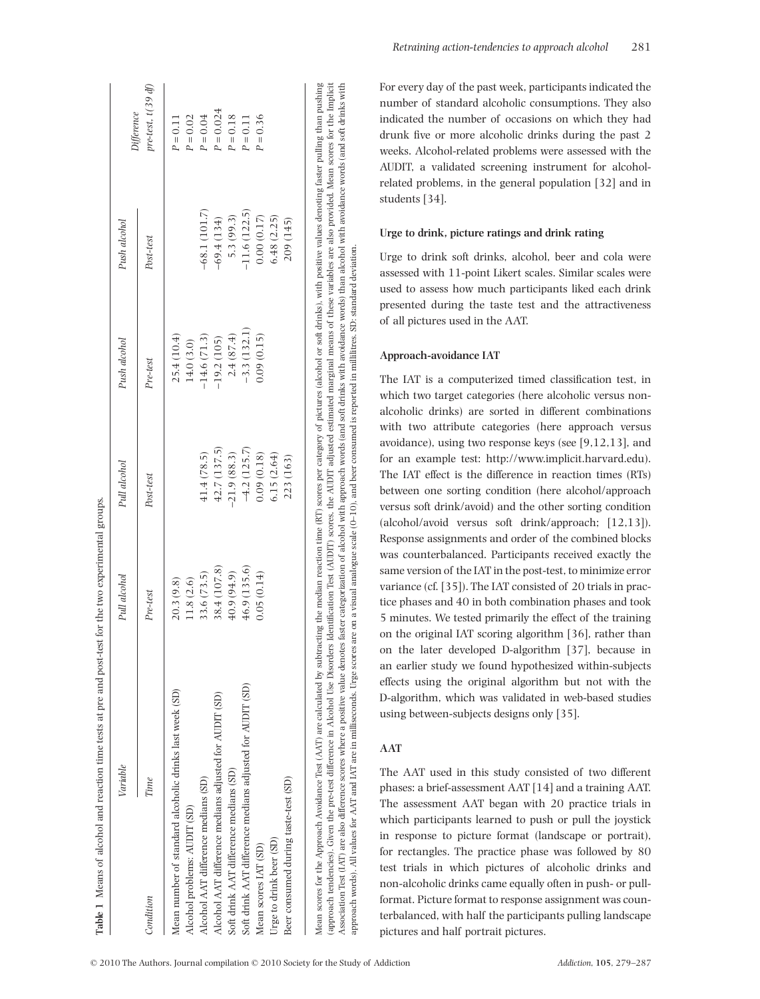|                                        | Variable                                                  | Pull alcohol | Pull alcohol  | Push alcohol  | Push alcohol   |                                  |
|----------------------------------------|-----------------------------------------------------------|--------------|---------------|---------------|----------------|----------------------------------|
| Condition                              | Time                                                      | Pre-test     | Post-test     | $Pre-test$    | Post-test      | $pre-test, t(39d)$<br>Difference |
|                                        | Mean number of standard alcoholic drinks last week (SD)   | 20.3 (9.8)   |               | 25.4 (10.4)   |                | $P = 0.11$                       |
| Alcohol problems: AUDIT (SD)           |                                                           | 11.8 (2.6)   |               | 14.0 (3.0)    |                | $P = 0.02$                       |
| Alcohol AAT difference medians (SD)    |                                                           | 33.6 (73.5)  | 41.4 (78.5)   | 14.6(71.3)    | $-68.1(101.7)$ | $P = 0.04$                       |
|                                        | Alcohol AAT difference medians adjusted for AUDIT (SD)    | 38.4 (107.8) | 42.7 (137.5)  | $-19.2(105)$  | $-69.4(134)$   | $P = 0.024$                      |
| Soft drink AAT difference medians (SD) |                                                           | 40.9 (94.9)  | $-21.9(88.3)$ | 2.4(87.4)     | 5.3 (99.3)     | $P = 0.18$                       |
|                                        | Soft drink AAT difference medians adjusted for AUDIT (SD) | 46.9 (135.6) | $-4.2(125.7)$ | $-3.3(132.1)$ | $-11.6(122.5)$ | $P = 0.11$                       |
| Mean scores IAT (SD)                   |                                                           | 0.05(0.14)   | 0.09(0.18)    | 0.09(0.15)    | 0.00(0.17)     | $P = 0.36$                       |
| Urge to drink beer (SD)                |                                                           |              | 6.15(2.64)    |               | 6.48(2.25)     |                                  |
| Beer consumed during taste-test (SD)   |                                                           |              | 223 (163)     |               | 209 (145)      |                                  |

*Retraining action-tendencies to approach alcohol* 281

For every day of the past week, participants indicated the number of standard alcoholic consumptions. They also indicated the number of occasions on which they had drunk five or more alcoholic drinks during the past 2 weeks. Alcohol-related problems were assessed with the AUDIT, a validated screening instrument for alcoholrelated problems, in the general population [32] and in students [34].

### **Urge to drink, picture ratings and drink rating**

Urge to drink soft drinks, alcohol, beer and cola were assessed with 11-point Likert scales. Similar scales were used to assess how much participants liked each drink presented during the taste test and the attractiveness of all pictures used in the AAT.

### **Approach-avoidance IAT**

The IAT is a computerized timed classification test, in which two target categories (here alcoholic versus nonalcoholic drinks) are sorted in different combinations with two attribute categories (here approach versus avoidance), using two response keys (see [9,12,13], and for an example test: http://www.implicit.harvard.edu). The IAT effect is the difference in reaction times (RTs) between one sorting condition (here alcohol/approach versus soft drink/avoid) and the other sorting condition (alcohol/avoid versus soft drink/approach; [12,13]). Response assignments and order of the combined blocks was counterbalanced. Participants received exactly the same version of the IAT in the post-test, to minimize error variance (cf. [35]). The IAT consisted of 20 trials in practice phases and 40 in both combination phases and took 5 minutes. We tested primarily the effect of the training on the original IAT scoring algorithm [36], rather than on the later developed D-algorithm [37], because in an earlier study we found hypothesized within-subjects effects using the original algorithm but not with the D-algorithm, which was validated in web-based studies using between-subjects designs only [35].

## **AAT**

approach words). All values for AAT and IAT are in milliseconds. Urge scores are on a visual analogue scale (0–10), and beer consumed is reported in millilitres. SD: standard deviation.

approach words). All values for AAT and IAT are in milliseconds. Urge scores are on a visual analogue scale (0-10), and beer consumed is reported in millilitres. SD: standard deviation.

The AAT used in this study consisted of two different phases: a brief-assessment AAT [14] and a training AAT. The assessment AAT began with 20 practice trials in which participants learned to push or pull the joystick in response to picture format (landscape or portrait), for rectangles. The practice phase was followed by 80 test trials in which pictures of alcoholic drinks and non-alcoholic drinks came equally often in push- or pullformat. Picture format to response assignment was counterbalanced, with half the participants pulling landscape pictures and half portrait pictures.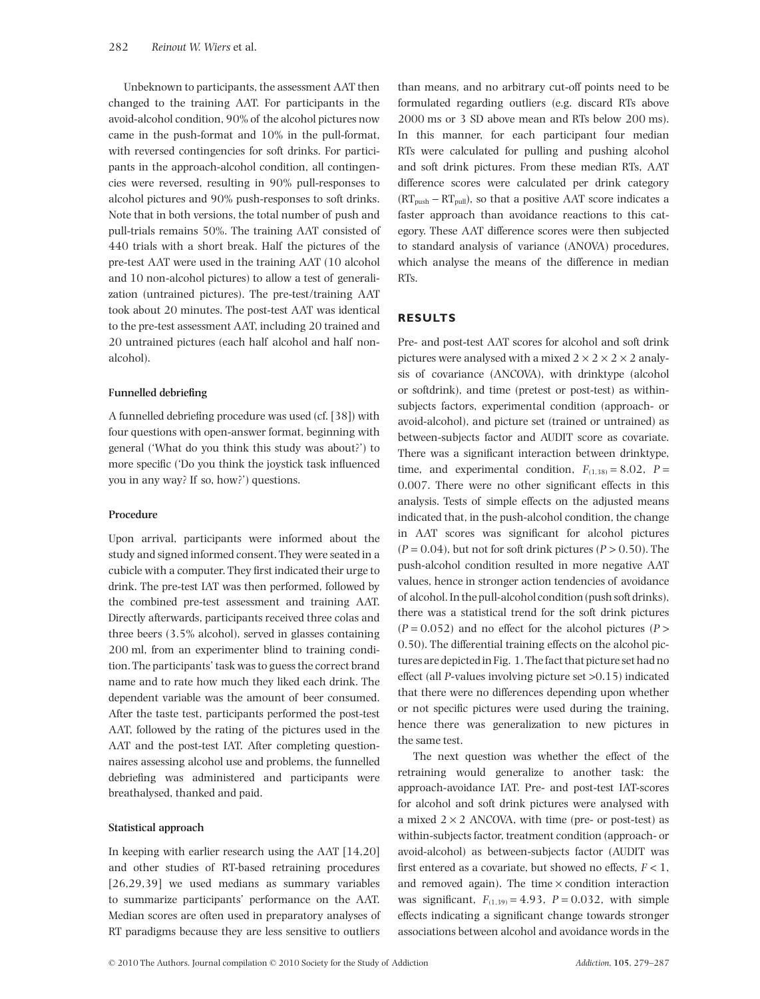Unbeknown to participants, the assessment AAT then changed to the training AAT. For participants in the avoid-alcohol condition, 90% of the alcohol pictures now came in the push-format and 10% in the pull-format, with reversed contingencies for soft drinks. For participants in the approach-alcohol condition, all contingencies were reversed, resulting in 90% pull-responses to alcohol pictures and 90% push-responses to soft drinks. Note that in both versions, the total number of push and pull-trials remains 50%. The training AAT consisted of 440 trials with a short break. Half the pictures of the pre-test AAT were used in the training AAT (10 alcohol and 10 non-alcohol pictures) to allow a test of generalization (untrained pictures). The pre-test/training AAT took about 20 minutes. The post-test AAT was identical to the pre-test assessment AAT, including 20 trained and 20 untrained pictures (each half alcohol and half nonalcohol).

#### **Funnelled debriefing**

A funnelled debriefing procedure was used (cf. [38]) with four questions with open-answer format, beginning with general ('What do you think this study was about?') to more specific ('Do you think the joystick task influenced you in any way? If so, how?') questions.

#### **Procedure**

Upon arrival, participants were informed about the study and signed informed consent. They were seated in a cubicle with a computer. They first indicated their urge to drink. The pre-test IAT was then performed, followed by the combined pre-test assessment and training AAT. Directly afterwards, participants received three colas and three beers (3.5% alcohol), served in glasses containing 200 ml, from an experimenter blind to training condition. The participants' task was to guess the correct brand name and to rate how much they liked each drink. The dependent variable was the amount of beer consumed. After the taste test, participants performed the post-test AAT, followed by the rating of the pictures used in the AAT and the post-test IAT. After completing questionnaires assessing alcohol use and problems, the funnelled debriefing was administered and participants were breathalysed, thanked and paid.

#### **Statistical approach**

In keeping with earlier research using the AAT [14,20] and other studies of RT-based retraining procedures [26,29,39] we used medians as summary variables to summarize participants' performance on the AAT. Median scores are often used in preparatory analyses of RT paradigms because they are less sensitive to outliers than means, and no arbitrary cut-off points need to be formulated regarding outliers (e.g. discard RTs above 2000 ms or 3 SD above mean and RTs below 200 ms). In this manner, for each participant four median RTs were calculated for pulling and pushing alcohol and soft drink pictures. From these median RTs, AAT difference scores were calculated per drink category  $(RT_{push} - RT_{pull})$ , so that a positive AAT score indicates a faster approach than avoidance reactions to this category. These AAT difference scores were then subjected to standard analysis of variance (ANOVA) procedures, which analyse the means of the difference in median RTs.

## **RESULTS**

Pre- and post-test AAT scores for alcohol and soft drink pictures were analysed with a mixed  $2 \times 2 \times 2 \times 2$  analysis of covariance (ANCOVA), with drinktype (alcohol or softdrink), and time (pretest or post-test) as withinsubjects factors, experimental condition (approach- or avoid-alcohol), and picture set (trained or untrained) as between-subjects factor and AUDIT score as covariate. There was a significant interaction between drinktype, time, and experimental condition,  $F_{(1,38)} = 8.02$ ,  $P =$ 0.007. There were no other significant effects in this analysis. Tests of simple effects on the adjusted means indicated that, in the push-alcohol condition, the change in AAT scores was significant for alcohol pictures  $(P = 0.04)$ , but not for soft drink pictures  $(P > 0.50)$ . The push-alcohol condition resulted in more negative AAT values, hence in stronger action tendencies of avoidance of alcohol. In the pull-alcohol condition (push soft drinks), there was a statistical trend for the soft drink pictures  $(P = 0.052)$  and no effect for the alcohol pictures  $(P > 0.052)$ 0.50). The differential training effects on the alcohol pictures are depicted in Fig. 1.The fact that picture set had no effect (all *P*-values involving picture set >0.15) indicated that there were no differences depending upon whether or not specific pictures were used during the training, hence there was generalization to new pictures in the same test.

The next question was whether the effect of the retraining would generalize to another task: the approach-avoidance IAT. Pre- and post-test IAT-scores for alcohol and soft drink pictures were analysed with a mixed  $2 \times 2$  ANCOVA, with time (pre- or post-test) as within-subjects factor, treatment condition (approach- or avoid-alcohol) as between-subjects factor (AUDIT was first entered as a covariate, but showed no effects,  $F < 1$ , and removed again). The time  $\times$  condition interaction was significant,  $F_{(1,39)} = 4.93$ ,  $P = 0.032$ , with simple effects indicating a significant change towards stronger associations between alcohol and avoidance words in the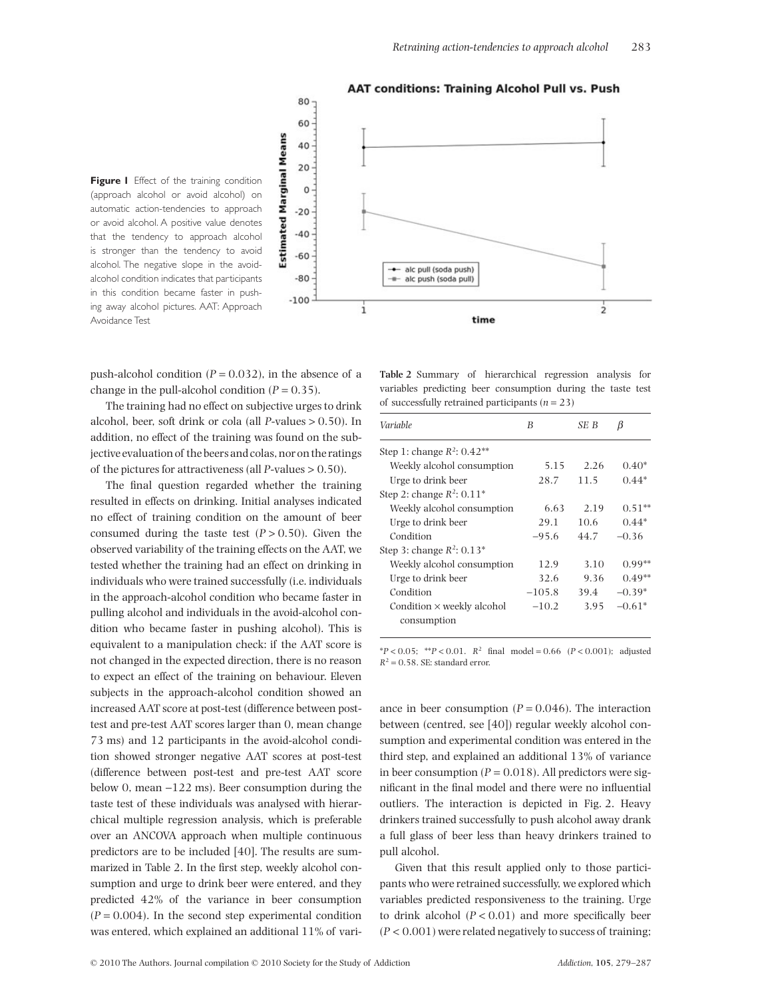

**AAT conditions: Training Alcohol Pull vs. Push** 

**Figure I** Effect of the training condition (approach alcohol or avoid alcohol) on automatic action-tendencies to approach or avoid alcohol. A positive value denotes that the tendency to approach alcohol is stronger than the tendency to avoid alcohol. The negative slope in the avoidalcohol condition indicates that participants in this condition became faster in pushing away alcohol pictures. AAT: Approach Avoidance Test

push-alcohol condition  $(P = 0.032)$ , in the absence of a change in the pull-alcohol condition  $(P = 0.35)$ .

The training had no effect on subjective urges to drink alcohol, beer, soft drink or cola (all *P*-values > 0.50). In addition, no effect of the training was found on the subjective evaluation of the beers and colas, nor on the ratings of the pictures for attractiveness (all *P*-values > 0.50).

The final question regarded whether the training resulted in effects on drinking. Initial analyses indicated no effect of training condition on the amount of beer consumed during the taste test  $(P > 0.50)$ . Given the observed variability of the training effects on the AAT, we tested whether the training had an effect on drinking in individuals who were trained successfully (i.e. individuals in the approach-alcohol condition who became faster in pulling alcohol and individuals in the avoid-alcohol condition who became faster in pushing alcohol). This is equivalent to a manipulation check: if the AAT score is not changed in the expected direction, there is no reason to expect an effect of the training on behaviour. Eleven subjects in the approach-alcohol condition showed an increased AAT score at post-test (difference between posttest and pre-test AAT scores larger than 0, mean change 73 ms) and 12 participants in the avoid-alcohol condition showed stronger negative AAT scores at post-test (difference between post-test and pre-test AAT score below 0, mean -122 ms). Beer consumption during the taste test of these individuals was analysed with hierarchical multiple regression analysis, which is preferable over an ANCOVA approach when multiple continuous predictors are to be included [40]. The results are summarized in Table 2. In the first step, weekly alcohol consumption and urge to drink beer were entered, and they predicted 42% of the variance in beer consumption  $(P = 0.004)$ . In the second step experimental condition was entered, which explained an additional 11% of vari-

**Table 2** Summary of hierarchical regression analysis for variables predicting beer consumption during the taste test of successfully retrained participants  $(n = 23)$ 

| Variable                                         | B        | SE B | β        |
|--------------------------------------------------|----------|------|----------|
| Step 1: change $R^2$ : 0.42 <sup>**</sup>        |          |      |          |
| Weekly alcohol consumption                       | 5.15     | 2.26 | $0.40*$  |
| Urge to drink beer                               | 28.7     | 11.5 | $0.44*$  |
| Step 2: change $R^2$ : 0.11 <sup>*</sup>         |          |      |          |
| Weekly alcohol consumption                       | 6.63     | 2.19 | $0.51**$ |
| Urge to drink beer                               | 29.1     | 10.6 | $0.44*$  |
| Condition                                        | $-95.6$  | 44.7 | $-0.36$  |
| Step 3: change $R^2$ : 0.13 <sup>*</sup>         |          |      |          |
| Weekly alcohol consumption                       | 12.9     | 3.10 | $0.99**$ |
| Urge to drink beer                               | 32.6     | 9.36 | $0.49**$ |
| Condition                                        | $-105.8$ | 39.4 | $-0.39*$ |
| Condition $\times$ weekly alcohol<br>consumption | $-10.2$  | 3.95 | $-0.61*$ |

\**P* < 0.05; \*\**P* < 0.01. *R*<sup>2</sup> final model = 0.66 (*P* < 0.001); adjusted  $R^2 = 0.58$ . SE: standard error.

ance in beer consumption  $(P = 0.046)$ . The interaction between (centred, see [40]) regular weekly alcohol consumption and experimental condition was entered in the third step, and explained an additional 13% of variance in beer consumption  $(P = 0.018)$ . All predictors were significant in the final model and there were no influential outliers. The interaction is depicted in Fig. 2. Heavy drinkers trained successfully to push alcohol away drank a full glass of beer less than heavy drinkers trained to pull alcohol.

Given that this result applied only to those participants who were retrained successfully, we explored which variables predicted responsiveness to the training. Urge to drink alcohol  $(P < 0.01)$  and more specifically beer  $(P < 0.001)$  were related negatively to success of training;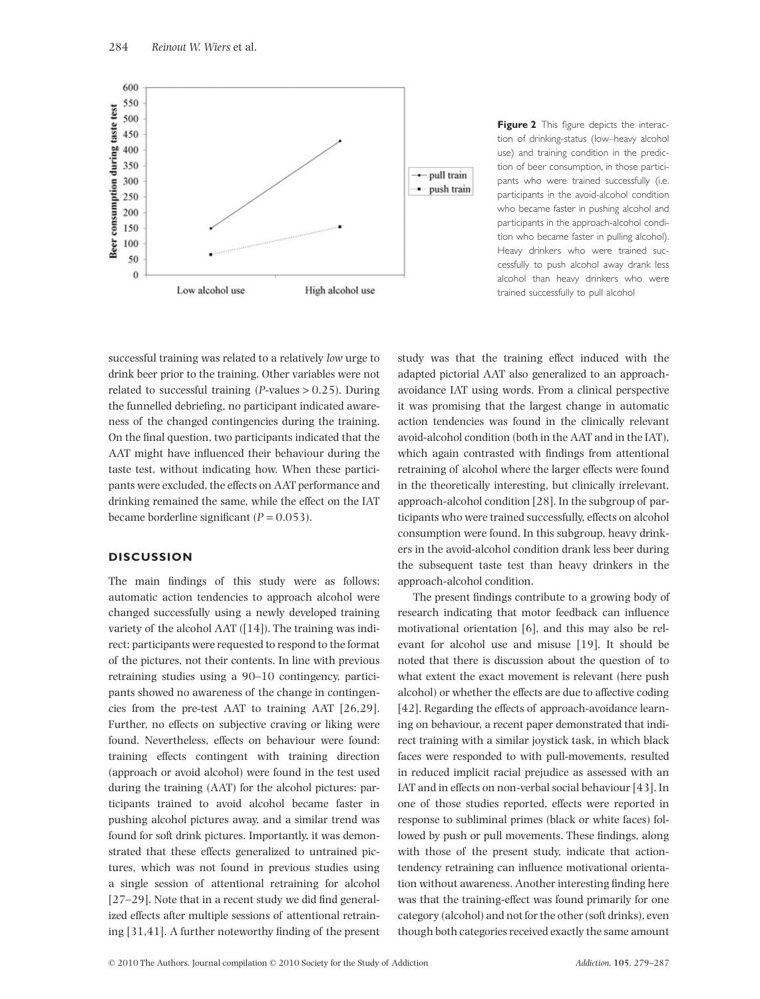

**Figure 2** This figure depicts the interaction of drinking-status (low–heavy alcohol use) and training condition in the prediction of beer consumption, in those participants who were trained successfully (i.e. participants in the avoid-alcohol condition who became faster in pushing alcohol and participants in the approach-alcohol condition who became faster in pulling alcohol). Heavy drinkers who were trained successfully to push alcohol away drank less alcohol than heavy drinkers who were trained successfully to pull alcohol

successful training was related to a relatively *low* urge to drink beer prior to the training. Other variables were not related to successful training (*P*-values > 0.25). During the funnelled debriefing, no participant indicated awareness of the changed contingencies during the training. On the final question, two participants indicated that the AAT might have influenced their behaviour during the taste test, without indicating how. When these participants were excluded, the effects on AAT performance and drinking remained the same, while the effect on the IAT became borderline significant  $(P = 0.053)$ .

## **DISCUSSION**

The main findings of this study were as follows: automatic action tendencies to approach alcohol were changed successfully using a newly developed training variety of the alcohol AAT ([14]). The training was indirect: participants were requested to respond to the format of the pictures, not their contents. In line with previous retraining studies using a 90–10 contingency, participants showed no awareness of the change in contingencies from the pre-test AAT to training AAT [26,29]. Further, no effects on subjective craving or liking were found. Nevertheless, effects on behaviour were found: training effects contingent with training direction (approach or avoid alcohol) were found in the test used during the training (AAT) for the alcohol pictures: participants trained to avoid alcohol became faster in pushing alcohol pictures away, and a similar trend was found for soft drink pictures. Importantly, it was demonstrated that these effects generalized to untrained pictures, which was not found in previous studies using a single session of attentional retraining for alcohol [27–29]. Note that in a recent study we did find generalized effects after multiple sessions of attentional retraining [31,41]. A further noteworthy finding of the present study was that the training effect induced with the adapted pictorial AAT also generalized to an approachavoidance IAT using words. From a clinical perspective it was promising that the largest change in automatic action tendencies was found in the clinically relevant avoid-alcohol condition (both in the AAT and in the IAT), which again contrasted with findings from attentional retraining of alcohol where the larger effects were found in the theoretically interesting, but clinically irrelevant, approach-alcohol condition [28]. In the subgroup of participants who were trained successfully, effects on alcohol consumption were found. In this subgroup, heavy drinkers in the avoid-alcohol condition drank less beer during the subsequent taste test than heavy drinkers in the approach-alcohol condition.

The present findings contribute to a growing body of research indicating that motor feedback can influence motivational orientation [6], and this may also be relevant for alcohol use and misuse [19]. It should be noted that there is discussion about the question of to what extent the exact movement is relevant (here push alcohol) or whether the effects are due to affective coding [42]. Regarding the effects of approach-avoidance learning on behaviour, a recent paper demonstrated that indirect training with a similar joystick task, in which black faces were responded to with pull-movements, resulted in reduced implicit racial prejudice as assessed with an IAT and in effects on non-verbal social behaviour [43]. In one of those studies reported, effects were reported in response to subliminal primes (black or white faces) followed by push or pull movements. These findings, along with those of the present study, indicate that actiontendency retraining can influence motivational orientation without awareness. Another interesting finding here was that the training-effect was found primarily for one category (alcohol) and not for the other (soft drinks), even though both categories received exactly the same amount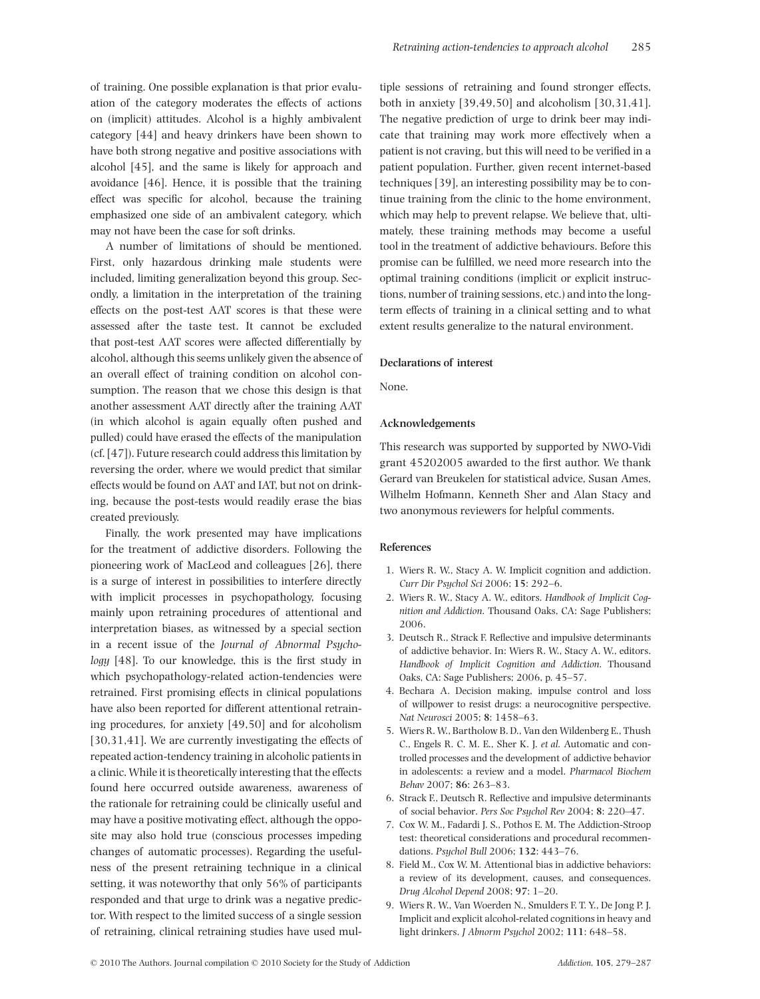of training. One possible explanation is that prior evaluation of the category moderates the effects of actions on (implicit) attitudes. Alcohol is a highly ambivalent category [44] and heavy drinkers have been shown to have both strong negative and positive associations with alcohol [45], and the same is likely for approach and avoidance [46]. Hence, it is possible that the training effect was specific for alcohol, because the training emphasized one side of an ambivalent category, which may not have been the case for soft drinks.

A number of limitations of should be mentioned. First, only hazardous drinking male students were included, limiting generalization beyond this group. Secondly, a limitation in the interpretation of the training effects on the post-test AAT scores is that these were assessed after the taste test. It cannot be excluded that post-test AAT scores were affected differentially by alcohol, although this seems unlikely given the absence of an overall effect of training condition on alcohol consumption. The reason that we chose this design is that another assessment AAT directly after the training AAT (in which alcohol is again equally often pushed and pulled) could have erased the effects of the manipulation (cf. [47]). Future research could address this limitation by reversing the order, where we would predict that similar effects would be found on AAT and IAT, but not on drinking, because the post-tests would readily erase the bias created previously.

Finally, the work presented may have implications for the treatment of addictive disorders. Following the pioneering work of MacLeod and colleagues [26], there is a surge of interest in possibilities to interfere directly with implicit processes in psychopathology, focusing mainly upon retraining procedures of attentional and interpretation biases, as witnessed by a special section in a recent issue of the *Journal of Abnormal Psychology* [48]. To our knowledge, this is the first study in which psychopathology-related action-tendencies were retrained. First promising effects in clinical populations have also been reported for different attentional retraining procedures, for anxiety [49,50] and for alcoholism [30,31,41]. We are currently investigating the effects of repeated action-tendency training in alcoholic patients in a clinic. While it is theoretically interesting that the effects found here occurred outside awareness, awareness of the rationale for retraining could be clinically useful and may have a positive motivating effect, although the opposite may also hold true (conscious processes impeding changes of automatic processes). Regarding the usefulness of the present retraining technique in a clinical setting, it was noteworthy that only 56% of participants responded and that urge to drink was a negative predictor. With respect to the limited success of a single session of retraining, clinical retraining studies have used multiple sessions of retraining and found stronger effects, both in anxiety [39,49,50] and alcoholism [30,31,41]. The negative prediction of urge to drink beer may indicate that training may work more effectively when a patient is not craving, but this will need to be verified in a patient population. Further, given recent internet-based techniques [39], an interesting possibility may be to continue training from the clinic to the home environment, which may help to prevent relapse. We believe that, ultimately, these training methods may become a useful tool in the treatment of addictive behaviours. Before this promise can be fulfilled, we need more research into the optimal training conditions (implicit or explicit instructions, number of training sessions, etc.) and into the longterm effects of training in a clinical setting and to what extent results generalize to the natural environment.

#### **Declarations of interest**

None.

#### **Acknowledgements**

This research was supported by supported by NWO-Vidi grant 45202005 awarded to the first author. We thank Gerard van Breukelen for statistical advice, Susan Ames, Wilhelm Hofmann, Kenneth Sher and Alan Stacy and two anonymous reviewers for helpful comments.

#### **References**

- 1. Wiers R. W., Stacy A. W. Implicit cognition and addiction. *Curr Dir Psychol Sci* 2006; **15**: 292–6.
- 2. Wiers R. W., Stacy A. W., editors. *Handbook of Implicit Cognition and Addiction*. Thousand Oaks, CA: Sage Publishers; 2006.
- 3. Deutsch R., Strack F. Reflective and impulsive determinants of addictive behavior. In: Wiers R. W., Stacy A. W., editors. *Handbook of Implicit Cognition and Addiction*. Thousand Oaks, CA: Sage Publishers; 2006, p. 45–57.
- 4. Bechara A. Decision making, impulse control and loss of willpower to resist drugs: a neurocognitive perspective. *Nat Neurosci* 2005; **8**: 1458–63.
- 5. Wiers R. W., Bartholow B. D., Van den Wildenberg E., Thush C., Engels R. C. M. E., Sher K. J. *et al.* Automatic and controlled processes and the development of addictive behavior in adolescents: a review and a model. *Pharmacol Biochem Behav* 2007; **86**: 263–83.
- 6. Strack F., Deutsch R. Reflective and impulsive determinants of social behavior. *Pers Soc Psychol Rev* 2004; **8**: 220–47.
- 7. Cox W. M., Fadardi J. S., Pothos E. M. The Addiction-Stroop test: theoretical considerations and procedural recommendations. *Psychol Bull* 2006; **132**: 443–76.
- 8. Field M., Cox W. M. Attentional bias in addictive behaviors: a review of its development, causes, and consequences. *Drug Alcohol Depend* 2008; **97**: 1–20.
- 9. Wiers R. W., Van Woerden N., Smulders F. T. Y., De Jong P. J. Implicit and explicit alcohol-related cognitions in heavy and light drinkers. *J Abnorm Psychol* 2002; **111**: 648–58.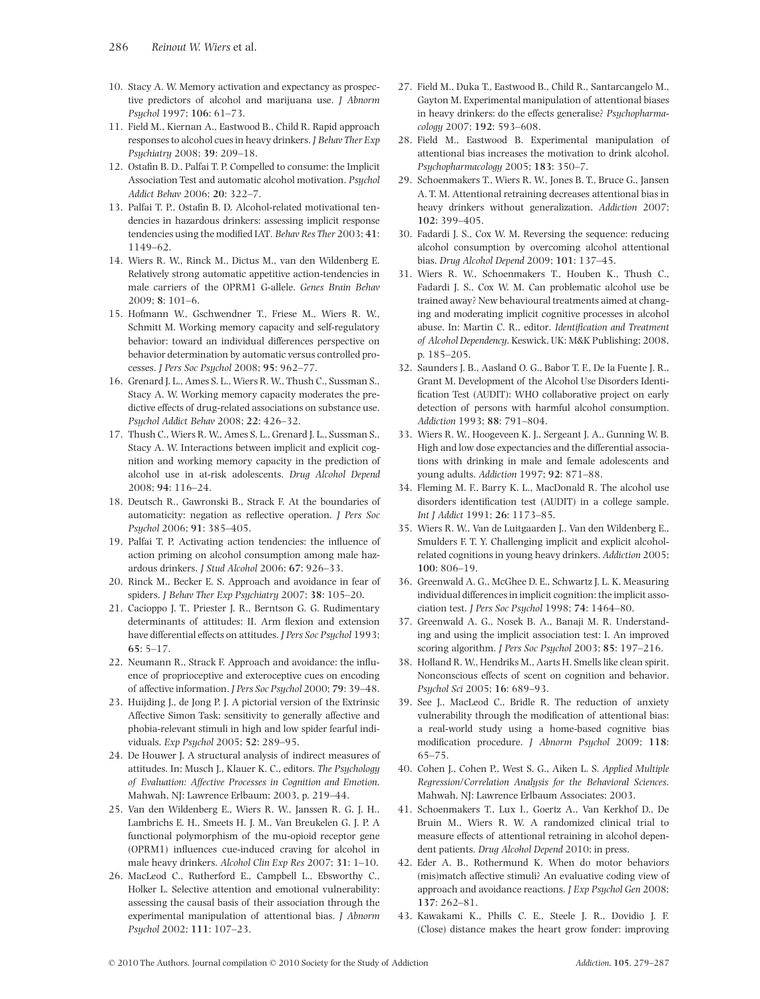- 10. Stacy A. W. Memory activation and expectancy as prospective predictors of alcohol and marijuana use. *J Abnorm Psychol* 1997; **106**: 61–73.
- 11. Field M., Kiernan A., Eastwood B., Child R. Rapid approach responses to alcohol cues in heavy drinkers. *J Behav Ther Exp Psychiatry* 2008; **39**: 209–18.
- 12. Ostafin B. D., Palfai T. P. Compelled to consume: the Implicit Association Test and automatic alcohol motivation. *Psychol Addict Behav* 2006; **20**: 322–7.
- 13. Palfai T. P., Ostafin B. D. Alcohol-related motivational tendencies in hazardous drinkers: assessing implicit response tendencies using the modified IAT. *Behav Res Ther* 2003; **41**: 1149–62.
- 14. Wiers R. W., Rinck M., Dictus M., van den Wildenberg E. Relatively strong automatic appetitive action-tendencies in male carriers of the OPRM1 G-allele. *Genes Brain Behav* 2009; **8**: 101–6.
- 15. Hofmann W., Gschwendner T., Friese M., Wiers R. W., Schmitt M. Working memory capacity and self-regulatory behavior: toward an individual differences perspective on behavior determination by automatic versus controlled processes. *J Pers Soc Psychol* 2008; **95**: 962–77.
- 16. Grenard J. L., Ames S. L., Wiers R. W., Thush C., Sussman S., Stacy A. W. Working memory capacity moderates the predictive effects of drug-related associations on substance use. *Psychol Addict Behav* 2008; **22**: 426–32.
- 17. Thush C., Wiers R. W., Ames S. L., Grenard J. L., Sussman S., Stacy A. W. Interactions between implicit and explicit cognition and working memory capacity in the prediction of alcohol use in at-risk adolescents. *Drug Alcohol Depend* 2008; **94**: 116–24.
- 18. Deutsch R., Gawronski B., Strack F. At the boundaries of automaticity: negation as reflective operation. *J Pers Soc Psychol* 2006; **91**: 385–405.
- 19. Palfai T. P. Activating action tendencies: the influence of action priming on alcohol consumption among male hazardous drinkers. *J Stud Alcohol* 2006; **67**: 926–33.
- 20. Rinck M., Becker E. S. Approach and avoidance in fear of spiders. *J Behav Ther Exp Psychiatry* 2007; **38**: 105–20.
- 21. Cacioppo J. T., Priester J. R., Berntson G. G. Rudimentary determinants of attitudes: II. Arm flexion and extension have differential effects on attitudes. *J Pers Soc Psychol* 1993; **65**: 5–17.
- 22. Neumann R., Strack F. Approach and avoidance: the influence of proprioceptive and exteroceptive cues on encoding of affective information. *J Pers Soc Psychol* 2000; **79**: 39–48.
- 23. Huijding J., de Jong P. J. A pictorial version of the Extrinsic Affective Simon Task: sensitivity to generally affective and phobia-relevant stimuli in high and low spider fearful individuals. *Exp Psychol* 2005; **52**: 289–95.
- 24. De Houwer J. A structural analysis of indirect measures of attitudes. In: Musch J., Klauer K. C., editors. *The Psychology of Evaluation: Affective Processes in Cognition and Emotion*. Mahwah, NJ: Lawrence Erlbaum; 2003, p. 219–44.
- 25. Van den Wildenberg E., Wiers R. W., Janssen R. G. J. H., Lambrichs E. H., Smeets H. J. M., Van Breukelen G. J. P. A functional polymorphism of the mu-opioid receptor gene (OPRM1) influences cue-induced craving for alcohol in male heavy drinkers. *Alcohol Clin Exp Res* 2007; **31**: 1–10.
- 26. MacLeod C., Rutherford E., Campbell L., Ebsworthy C., Holker L. Selective attention and emotional vulnerability: assessing the causal basis of their association through the experimental manipulation of attentional bias. *J Abnorm Psychol* 2002; **111**: 107–23.
- 27. Field M., Duka T., Eastwood B., Child R., Santarcangelo M., Gayton M. Experimental manipulation of attentional biases in heavy drinkers: do the effects generalise? *Psychopharmacology* 2007; **192**: 593–608.
- 28. Field M., Eastwood B. Experimental manipulation of attentional bias increases the motivation to drink alcohol. *Psychopharmacology* 2005; **183**: 350–7.
- 29. Schoenmakers T., Wiers R. W., Jones B. T., Bruce G., Jansen A. T. M. Attentional retraining decreases attentional bias in heavy drinkers without generalization. *Addiction* 2007; **102**: 399–405.
- 30. Fadardi J. S., Cox W. M. Reversing the sequence: reducing alcohol consumption by overcoming alcohol attentional bias. *Drug Alcohol Depend* 2009; **101**: 137–45.
- 31. Wiers R. W., Schoenmakers T., Houben K., Thush C., Fadardi J. S., Cox W. M. Can problematic alcohol use be trained away? New behavioural treatments aimed at changing and moderating implicit cognitive processes in alcohol abuse. In: Martin C. R., editor. *Identification and Treatment of Alcohol Dependency*. Keswick, UK: M&K Publishing; 2008, p. 185–205.
- 32. Saunders J. B., Aasland O. G., Babor T. F., De la Fuente J. R., Grant M. Development of the Alcohol Use Disorders Identification Test (AUDIT): WHO collaborative project on early detection of persons with harmful alcohol consumption. *Addiction* 1993; **88**: 791–804.
- 33. Wiers R. W., Hoogeveen K. J., Sergeant J. A., Gunning W. B. High and low dose expectancies and the differential associations with drinking in male and female adolescents and young adults. *Addiction* 1997; **92**: 871–88.
- 34. Fleming M. F., Barry K. L., MacDonald R. The alcohol use disorders identification test (AUDIT) in a college sample. *Int J Addict* 1991; **26**: 1173–85.
- 35. Wiers R. W., Van de Luitgaarden J., Van den Wildenberg E., Smulders F. T. Y. Challenging implicit and explicit alcoholrelated cognitions in young heavy drinkers. *Addiction* 2005; **100**: 806–19.
- 36. Greenwald A. G., McGhee D. E., Schwartz J. L. K. Measuring individual differences in implicit cognition: the implicit association test. *J Pers Soc Psychol* 1998; **74**: 1464–80.
- 37. Greenwald A. G., Nosek B. A., Banaji M. R. Understanding and using the implicit association test: I. An improved scoring algorithm. *J Pers Soc Psychol* 2003; **85**: 197–216.
- 38. Holland R. W., Hendriks M., Aarts H. Smells like clean spirit. Nonconscious effects of scent on cognition and behavior. *Psychol Sci* 2005; **16**: 689–93.
- 39. See J., MacLeod C., Bridle R. The reduction of anxiety vulnerability through the modification of attentional bias: a real-world study using a home-based cognitive bias modification procedure. *J Abnorm Psychol* 2009; **118**: 65–75.
- 40. Cohen J., Cohen P., West S. G., Aiken L. S. *Applied Multiple Regression/Correlation Analysis for the Behavioral Sciences*. Mahwah, NJ: Lawrence Erlbaum Associates; 2003.
- 41. Schoenmakers T., Lux I., Goertz A., Van Kerkhof D., De Bruin M., Wiers R. W. A randomized clinical trial to measure effects of attentional retraining in alcohol dependent patients. *Drug Alcohol Depend* 2010; in press.
- 42. Eder A. B., Rothermund K. When do motor behaviors (mis)match affective stimuli? An evaluative coding view of approach and avoidance reactions. *J Exp Psychol Gen* 2008; **137**: 262–81.
- 43. Kawakami K., Phills C. E., Steele J. R., Dovidio J. F. (Close) distance makes the heart grow fonder: improving